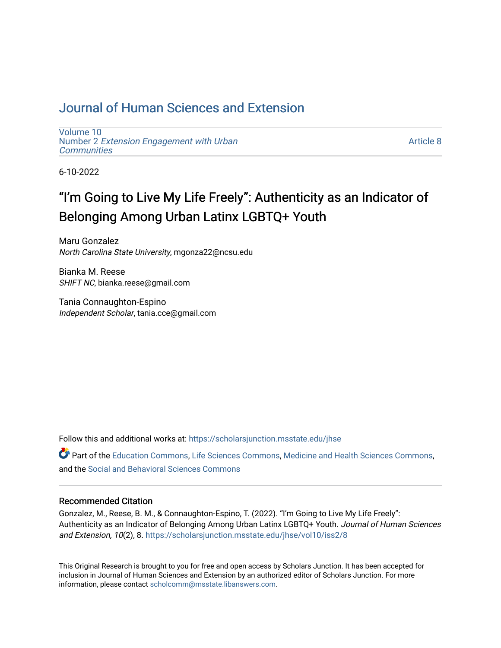### [Journal of Human Sciences and Extension](https://scholarsjunction.msstate.edu/jhse)

[Volume 10](https://scholarsjunction.msstate.edu/jhse/vol10) Number 2 [Extension Engagement with Urban](https://scholarsjunction.msstate.edu/jhse/vol10/iss2) **[Communities](https://scholarsjunction.msstate.edu/jhse/vol10/iss2)** 

[Article 8](https://scholarsjunction.msstate.edu/jhse/vol10/iss2/8) 

6-10-2022

# "I'm Going to Live My Life Freely": Authenticity as an Indicator of Belonging Among Urban Latinx LGBTQ+ Youth

Maru Gonzalez North Carolina State University, mgonza22@ncsu.edu

Bianka M. Reese SHIFT NC, bianka.reese@gmail.com

Tania Connaughton-Espino Independent Scholar, tania.cce@gmail.com

Follow this and additional works at: [https://scholarsjunction.msstate.edu/jhse](https://scholarsjunction.msstate.edu/jhse?utm_source=scholarsjunction.msstate.edu%2Fjhse%2Fvol10%2Fiss2%2F8&utm_medium=PDF&utm_campaign=PDFCoverPages)

Part of the [Education Commons](https://network.bepress.com/hgg/discipline/784?utm_source=scholarsjunction.msstate.edu%2Fjhse%2Fvol10%2Fiss2%2F8&utm_medium=PDF&utm_campaign=PDFCoverPages), [Life Sciences Commons](https://network.bepress.com/hgg/discipline/1016?utm_source=scholarsjunction.msstate.edu%2Fjhse%2Fvol10%2Fiss2%2F8&utm_medium=PDF&utm_campaign=PDFCoverPages), [Medicine and Health Sciences Commons](https://network.bepress.com/hgg/discipline/648?utm_source=scholarsjunction.msstate.edu%2Fjhse%2Fvol10%2Fiss2%2F8&utm_medium=PDF&utm_campaign=PDFCoverPages), and the [Social and Behavioral Sciences Commons](https://network.bepress.com/hgg/discipline/316?utm_source=scholarsjunction.msstate.edu%2Fjhse%2Fvol10%2Fiss2%2F8&utm_medium=PDF&utm_campaign=PDFCoverPages) 

#### Recommended Citation

Gonzalez, M., Reese, B. M., & Connaughton-Espino, T. (2022). "I'm Going to Live My Life Freely": Authenticity as an Indicator of Belonging Among Urban Latinx LGBTQ+ Youth. Journal of Human Sciences and Extension, 10(2), 8. [https://scholarsjunction.msstate.edu/jhse/vol10/iss2/8](https://scholarsjunction.msstate.edu/jhse/vol10/iss2/8?utm_source=scholarsjunction.msstate.edu%2Fjhse%2Fvol10%2Fiss2%2F8&utm_medium=PDF&utm_campaign=PDFCoverPages) 

This Original Research is brought to you for free and open access by Scholars Junction. It has been accepted for inclusion in Journal of Human Sciences and Extension by an authorized editor of Scholars Junction. For more information, please contact [scholcomm@msstate.libanswers.com](mailto:scholcomm@msstate.libanswers.com).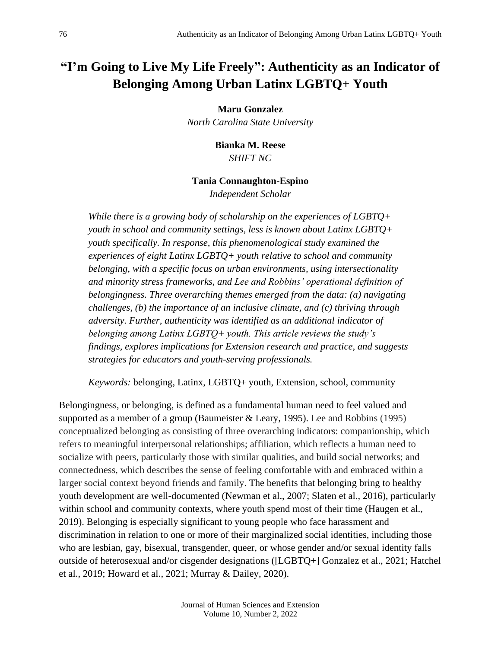## **"I'm Going to Live My Life Freely": Authenticity as an Indicator of Belonging Among Urban Latinx LGBTQ+ Youth**

**Maru Gonzalez**

*North Carolina State University*

**Bianka M. Reese** *SHIFT NC*

#### **Tania Connaughton-Espino**

*Independent Scholar*

*While there is a growing body of scholarship on the experiences of LGBTQ+ youth in school and community settings, less is known about Latinx LGBTQ+ youth specifically. In response, this phenomenological study examined the experiences of eight Latinx LGBTQ+ youth relative to school and community belonging, with a specific focus on urban environments, using intersectionality and minority stress frameworks, and Lee and Robbins' operational definition of belongingness. Three overarching themes emerged from the data: (a) navigating challenges, (b) the importance of an inclusive climate, and (c) thriving through adversity. Further, authenticity was identified as an additional indicator of belonging among Latinx LGBTQ+ youth. This article reviews the study's findings, explores implications for Extension research and practice, and suggests strategies for educators and youth-serving professionals.* 

*Keywords:* belonging, Latinx, LGBTQ+ youth, Extension, school, community

Belongingness, or belonging, is defined as a fundamental human need to feel valued and supported as a member of a group (Baumeister & Leary, 1995). Lee and Robbins (1995) conceptualized belonging as consisting of three overarching indicators: companionship, which refers to meaningful interpersonal relationships; affiliation, which reflects a human need to socialize with peers, particularly those with similar qualities, and build social networks; and connectedness, which describes the sense of feeling comfortable with and embraced within a larger social context beyond friends and family. The benefits that belonging bring to healthy youth development are well-documented (Newman et al., 2007; Slaten et al., 2016), particularly within school and community contexts, where youth spend most of their time (Haugen et al., 2019). Belonging is especially significant to young people who face harassment and discrimination in relation to one or more of their marginalized social identities, including those who are lesbian, gay, bisexual, transgender, queer, or whose gender and/or sexual identity falls outside of heterosexual and/or cisgender designations ([LGBTQ+] Gonzalez et al., 2021; Hatchel et al., 2019; Howard et al., 2021; Murray & Dailey, 2020).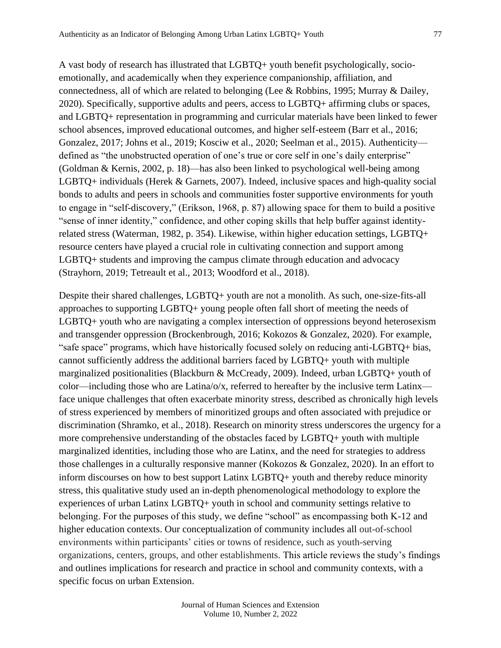A vast body of research has illustrated that LGBTQ+ youth benefit psychologically, socioemotionally, and academically when they experience companionship, affiliation, and connectedness, all of which are related to belonging (Lee & Robbins, 1995; Murray & Dailey, 2020). Specifically, supportive adults and peers, access to LGBTQ+ affirming clubs or spaces, and LGBTQ+ representation in programming and curricular materials have been linked to fewer school absences, improved educational outcomes, and higher self-esteem (Barr et al., 2016; Gonzalez, 2017; Johns et al., 2019; Kosciw et al., 2020; Seelman et al., 2015). Authenticity defined as "the unobstructed operation of one's true or core self in one's daily enterprise" (Goldman & Kernis, 2002, p. 18)—has also been linked to psychological well-being among LGBTQ+ individuals (Herek & Garnets, 2007). Indeed, inclusive spaces and high-quality social bonds to adults and peers in schools and communities foster supportive environments for youth to engage in "self-discovery," (Erikson, 1968, p. 87) allowing space for them to build a positive "sense of inner identity," confidence, and other coping skills that help buffer against identityrelated stress (Waterman, 1982, p. 354). Likewise, within higher education settings, LGBTQ+ resource centers have played a crucial role in cultivating connection and support among LGBTQ+ students and improving the campus climate through education and advocacy (Strayhorn, 2019; Tetreault et al., 2013; Woodford et al., 2018).

Despite their shared challenges, LGBTQ+ youth are not a monolith. As such, one-size-fits-all approaches to supporting LGBTQ+ young people often fall short of meeting the needs of LGBTQ+ youth who are navigating a complex intersection of oppressions beyond heterosexism and transgender oppression (Brockenbrough, 2016; Kokozos & Gonzalez, 2020). For example, "safe space" programs, which have historically focused solely on reducing anti-LGBTQ+ bias, cannot sufficiently address the additional barriers faced by LGBTQ+ youth with multiple marginalized positionalities (Blackburn & McCready, 2009). Indeed, urban LGBTQ+ youth of color—including those who are Latina/ $\sigma/x$ , referred to hereafter by the inclusive term Latinx face unique challenges that often exacerbate minority stress, described as chronically high levels of stress experienced by members of minoritized groups and often associated with prejudice or discrimination (Shramko, et al., 2018). Research on minority stress underscores the urgency for a more comprehensive understanding of the obstacles faced by LGBTQ+ youth with multiple marginalized identities, including those who are Latinx, and the need for strategies to address those challenges in a culturally responsive manner (Kokozos & Gonzalez, 2020). In an effort to inform discourses on how to best support Latinx LGBTQ+ youth and thereby reduce minority stress, this qualitative study used an in-depth phenomenological methodology to explore the experiences of urban Latinx LGBTQ+ youth in school and community settings relative to belonging. For the purposes of this study, we define "school" as encompassing both K-12 and higher education contexts. Our conceptualization of community includes all out-of-school environments within participants' cities or towns of residence, such as youth-serving organizations, centers, groups, and other establishments. This article reviews the study's findings and outlines implications for research and practice in school and community contexts, with a specific focus on urban Extension.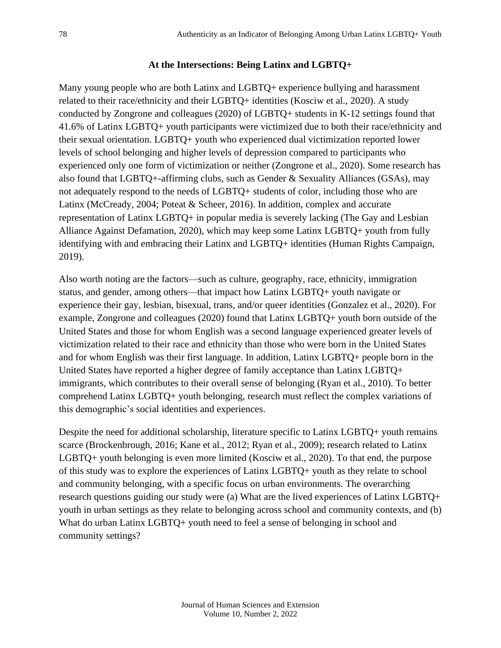#### **At the Intersections: Being Latinx and LGBTQ+**

Many young people who are both Latinx and LGBTQ+ experience bullying and harassment related to their race/ethnicity and their LGBTQ+ identities (Kosciw et al., 2020). A study conducted by Zongrone and colleagues (2020) of LGBTQ+ students in K-12 settings found that 41.6% of Latinx LGBTQ+ youth participants were victimized due to both their race/ethnicity and their sexual orientation. LGBTQ+ youth who experienced dual victimization reported lower levels of school belonging and higher levels of depression compared to participants who experienced only one form of victimization or neither (Zongrone et al., 2020). Some research has also found that LGBTQ+-affirming clubs, such as Gender & Sexuality Alliances (GSAs), may not adequately respond to the needs of LGBTQ+ students of color, including those who are Latinx (McCready, 2004; Poteat & Scheer, 2016). In addition, complex and accurate representation of Latinx LGBTQ+ in popular media is severely lacking (The Gay and Lesbian Alliance Against Defamation, 2020), which may keep some Latinx LGBTQ+ youth from fully identifying with and embracing their Latinx and LGBTQ+ identities (Human Rights Campaign, 2019).

Also worth noting are the factors—such as culture, geography, race, ethnicity, immigration status, and gender, among others—that impact how Latinx LGBTQ+ youth navigate or experience their gay, lesbian, bisexual, trans, and/or queer identities (Gonzalez et al., 2020). For example, Zongrone and colleagues (2020) found that Latinx LGBTQ+ youth born outside of the United States and those for whom English was a second language experienced greater levels of victimization related to their race and ethnicity than those who were born in the United States and for whom English was their first language. In addition, Latinx LGBTQ+ people born in the United States have reported a higher degree of family acceptance than Latinx LGBTQ+ immigrants, which contributes to their overall sense of belonging (Ryan et al., 2010). To better comprehend Latinx LGBTQ+ youth belonging, research must reflect the complex variations of this demographic's social identities and experiences.

Despite the need for additional scholarship, literature specific to Latinx LGBTQ+ youth remains scarce (Brockenbrough, 2016; Kane et al., 2012; Ryan et al., 2009); research related to Latinx LGBTQ+ youth belonging is even more limited (Kosciw et al., 2020). To that end, the purpose of this study was to explore the experiences of Latinx LGBTQ+ youth as they relate to school and community belonging, with a specific focus on urban environments. The overarching research questions guiding our study were (a) What are the lived experiences of Latinx LGBTQ+ youth in urban settings as they relate to belonging across school and community contexts, and (b) What do urban Latinx LGBTQ+ youth need to feel a sense of belonging in school and community settings?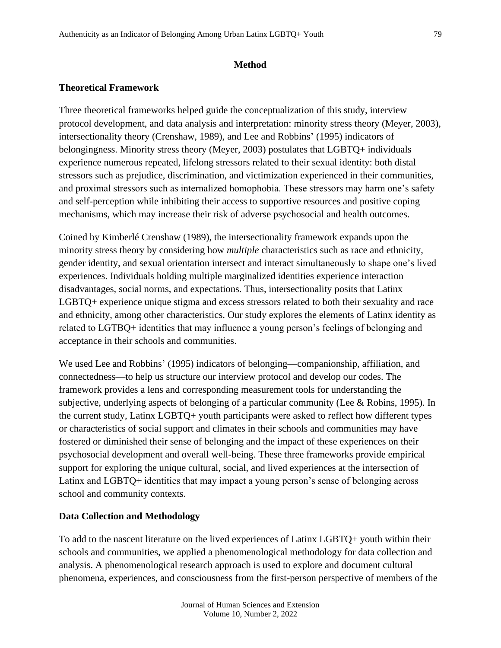#### **Method**

#### **Theoretical Framework**

Three theoretical frameworks helped guide the conceptualization of this study, interview protocol development, and data analysis and interpretation: minority stress theory (Meyer, 2003), intersectionality theory (Crenshaw, 1989), and Lee and Robbins' (1995) indicators of belongingness. Minority stress theory (Meyer, 2003) postulates that LGBTQ+ individuals experience numerous repeated, lifelong stressors related to their sexual identity: both distal stressors such as prejudice, discrimination, and victimization experienced in their communities, and proximal stressors such as internalized homophobia. These stressors may harm one's safety and self-perception while inhibiting their access to supportive resources and positive coping mechanisms, which may increase their risk of adverse psychosocial and health outcomes.

Coined by Kimberlé Crenshaw (1989), the intersectionality framework expands upon the minority stress theory by considering how *multiple* characteristics such as race and ethnicity, gender identity, and sexual orientation intersect and interact simultaneously to shape one's lived experiences. Individuals holding multiple marginalized identities experience interaction disadvantages, social norms, and expectations. Thus, intersectionality posits that Latinx LGBTQ+ experience unique stigma and excess stressors related to both their sexuality and race and ethnicity, among other characteristics. Our study explores the elements of Latinx identity as related to LGTBQ+ identities that may influence a young person's feelings of belonging and acceptance in their schools and communities.

We used Lee and Robbins' (1995) indicators of belonging—companionship, affiliation, and connectedness—to help us structure our interview protocol and develop our codes. The framework provides a lens and corresponding measurement tools for understanding the subjective, underlying aspects of belonging of a particular community (Lee & Robins, 1995). In the current study, Latinx LGBTQ+ youth participants were asked to reflect how different types or characteristics of social support and climates in their schools and communities may have fostered or diminished their sense of belonging and the impact of these experiences on their psychosocial development and overall well-being. These three frameworks provide empirical support for exploring the unique cultural, social, and lived experiences at the intersection of Latinx and LGBTQ+ identities that may impact a young person's sense of belonging across school and community contexts.

#### **Data Collection and Methodology**

To add to the nascent literature on the lived experiences of Latinx LGBTQ+ youth within their schools and communities, we applied a phenomenological methodology for data collection and analysis. A phenomenological research approach is used to explore and document cultural phenomena, experiences, and consciousness from the first-person perspective of members of the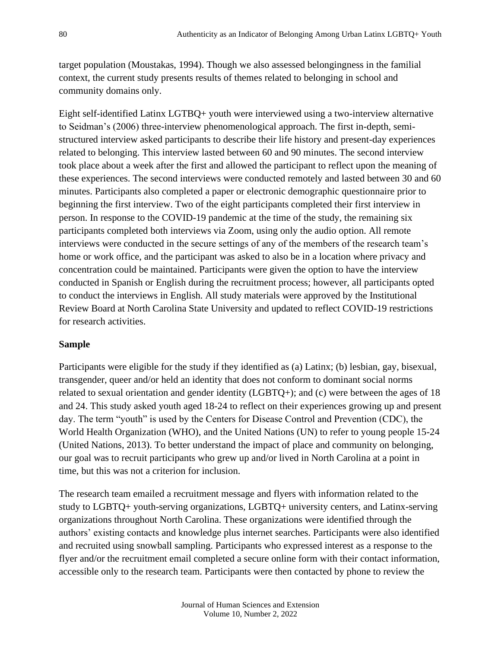target population (Moustakas, 1994). Though we also assessed belongingness in the familial context, the current study presents results of themes related to belonging in school and community domains only.

Eight self-identified Latinx LGTBQ+ youth were interviewed using a two-interview alternative to Seidman's (2006) three-interview phenomenological approach. The first in-depth, semistructured interview asked participants to describe their life history and present-day experiences related to belonging. This interview lasted between 60 and 90 minutes. The second interview took place about a week after the first and allowed the participant to reflect upon the meaning of these experiences. The second interviews were conducted remotely and lasted between 30 and 60 minutes. Participants also completed a paper or electronic demographic questionnaire prior to beginning the first interview. Two of the eight participants completed their first interview in person. In response to the COVID-19 pandemic at the time of the study, the remaining six participants completed both interviews via Zoom, using only the audio option. All remote interviews were conducted in the secure settings of any of the members of the research team's home or work office, and the participant was asked to also be in a location where privacy and concentration could be maintained. Participants were given the option to have the interview conducted in Spanish or English during the recruitment process; however, all participants opted to conduct the interviews in English. All study materials were approved by the Institutional Review Board at North Carolina State University and updated to reflect COVID-19 restrictions for research activities.

#### **Sample**

Participants were eligible for the study if they identified as (a) Latinx; (b) lesbian, gay, bisexual, transgender, queer and/or held an identity that does not conform to dominant social norms related to sexual orientation and gender identity (LGBTQ+); and (c) were between the ages of 18 and 24. This study asked youth aged 18-24 to reflect on their experiences growing up and present day. The term "youth" is used by the Centers for Disease Control and Prevention (CDC), the World Health Organization (WHO), and the United Nations (UN) to refer to young people 15-24 (United Nations, 2013). To better understand the impact of place and community on belonging, our goal was to recruit participants who grew up and/or lived in North Carolina at a point in time, but this was not a criterion for inclusion.

The research team emailed a recruitment message and flyers with information related to the study to LGBTQ+ youth-serving organizations, LGBTQ+ university centers, and Latinx-serving organizations throughout North Carolina. These organizations were identified through the authors' existing contacts and knowledge plus internet searches. Participants were also identified and recruited using snowball sampling. Participants who expressed interest as a response to the flyer and/or the recruitment email completed a secure online form with their contact information, accessible only to the research team. Participants were then contacted by phone to review the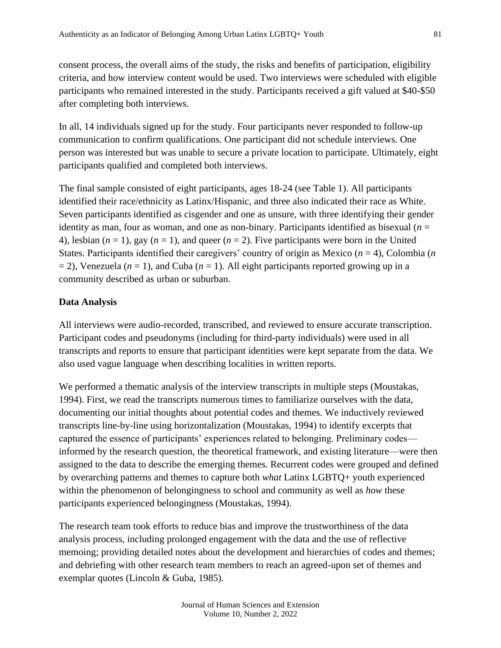consent process, the overall aims of the study, the risks and benefits of participation, eligibility criteria, and how interview content would be used. Two interviews were scheduled with eligible participants who remained interested in the study. Participants received a gift valued at \$40-\$50 after completing both interviews.

In all, 14 individuals signed up for the study. Four participants never responded to follow-up communication to confirm qualifications. One participant did not schedule interviews. One person was interested but was unable to secure a private location to participate. Ultimately, eight participants qualified and completed both interviews.

The final sample consisted of eight participants, ages 18-24 (see Table 1). All participants identified their race/ethnicity as Latinx/Hispanic, and three also indicated their race as White. Seven participants identified as cisgender and one as unsure, with three identifying their gender identity as man, four as woman, and one as non-binary. Participants identified as bisexual  $(n =$ 4), lesbian  $(n = 1)$ , gay  $(n = 1)$ , and queer  $(n = 2)$ . Five participants were born in the United States. Participants identified their caregivers' country of origin as Mexico (*n* = 4), Colombia (*n*  $= 2$ ), Venezuela ( $n = 1$ ), and Cuba ( $n = 1$ ). All eight participants reported growing up in a community described as urban or suburban.

#### **Data Analysis**

All interviews were audio-recorded, transcribed, and reviewed to ensure accurate transcription. Participant codes and pseudonyms (including for third-party individuals) were used in all transcripts and reports to ensure that participant identities were kept separate from the data. We also used vague language when describing localities in written reports.

We performed a thematic analysis of the interview transcripts in multiple steps (Moustakas, 1994). First, we read the transcripts numerous times to familiarize ourselves with the data, documenting our initial thoughts about potential codes and themes. We inductively reviewed transcripts line-by-line using horizontalization (Moustakas, 1994) to identify excerpts that captured the essence of participants' experiences related to belonging. Preliminary codes informed by the research question, the theoretical framework, and existing literature—were then assigned to the data to describe the emerging themes. Recurrent codes were grouped and defined by overarching patterns and themes to capture both *what* Latinx LGBTQ+ youth experienced within the phenomenon of belongingness to school and community as well as *how* these participants experienced belongingness (Moustakas, 1994).

The research team took efforts to reduce bias and improve the trustworthiness of the data analysis process, including prolonged engagement with the data and the use of reflective memoing; providing detailed notes about the development and hierarchies of codes and themes; and debriefing with other research team members to reach an agreed-upon set of themes and exemplar quotes (Lincoln & Guba, 1985).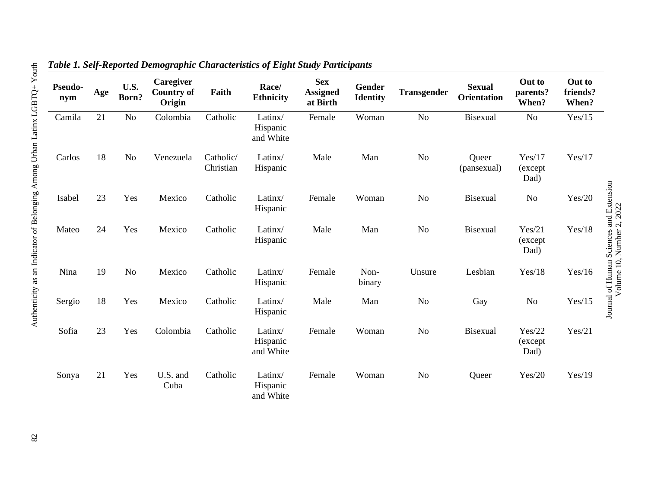| Pseudo-<br>nym | Age | U.S.<br>Born?  | Caregiver<br><b>Country of</b><br>Origin | Faith                  | Race/<br><b>Ethnicity</b>        | <b>Sex</b><br><b>Assigned</b><br>at Birth | Gender<br><b>Identity</b> | Transgender    | <b>Sexual</b><br><b>Orientation</b> | Out to<br>parents?<br>When? | Out to<br>friends?<br>When? |                                                                      |
|----------------|-----|----------------|------------------------------------------|------------------------|----------------------------------|-------------------------------------------|---------------------------|----------------|-------------------------------------|-----------------------------|-----------------------------|----------------------------------------------------------------------|
| Camila         | 21  | No             | Colombia                                 | Catholic               | Latinx/<br>Hispanic<br>and White | Female                                    | Woman                     | N <sub>o</sub> | Bisexual                            | $\rm No$                    | Yes/15                      |                                                                      |
| Carlos         | 18  | No             | Venezuela                                | Catholic/<br>Christian | Latinx/<br>Hispanic              | Male                                      | Man                       | N <sub>o</sub> | Queer<br>(pansexual)                | Yes/17<br>(except<br>Dad)   | Yes/17                      | Journal of Human Sciences and Extension<br>Volume 10, Number 2, 2022 |
| Isabel         | 23  | Yes            | Mexico                                   | Catholic               | Latinx/<br>Hispanic              | Female                                    | Woman                     | N <sub>o</sub> | <b>Bisexual</b>                     | N <sub>o</sub>              | Yes/20                      |                                                                      |
| Mateo          | 24  | Yes            | Mexico                                   | Catholic               | Latinx/<br>Hispanic              | Male                                      | Man                       | N <sub>o</sub> | Bisexual                            | Yes/21<br>(except)<br>Dad)  | Yes/18                      |                                                                      |
| Nina           | 19  | N <sub>o</sub> | Mexico                                   | Catholic               | Latinx/<br>Hispanic              | Female                                    | Non-<br>binary            | Unsure         | Lesbian                             | Yes/18                      | Yes/16                      |                                                                      |
| Sergio         | 18  | Yes            | Mexico                                   | Catholic               | Latinx/<br>Hispanic              | Male                                      | Man                       | N <sub>o</sub> | Gay                                 | N <sub>o</sub>              | Yes/15                      |                                                                      |
| Sofia          | 23  | Yes            | Colombia                                 | Catholic               | Latinx/<br>Hispanic<br>and White | Female                                    | Woman                     | N <sub>o</sub> | Bisexual                            | Yes/22<br>(except)<br>Dad)  | Yes/21                      |                                                                      |
| Sonya          | 21  | Yes            | U.S. and<br>Cuba                         | Catholic               | Latinx/<br>Hispanic<br>and White | Female                                    | Woman                     | N <sub>o</sub> | Queer                               | Yes/20                      | Yes/19                      |                                                                      |

Volume 10, Number 2, 2022

## *Table 1. Self-Reported Demographic Characteristics of Eight Study Participants*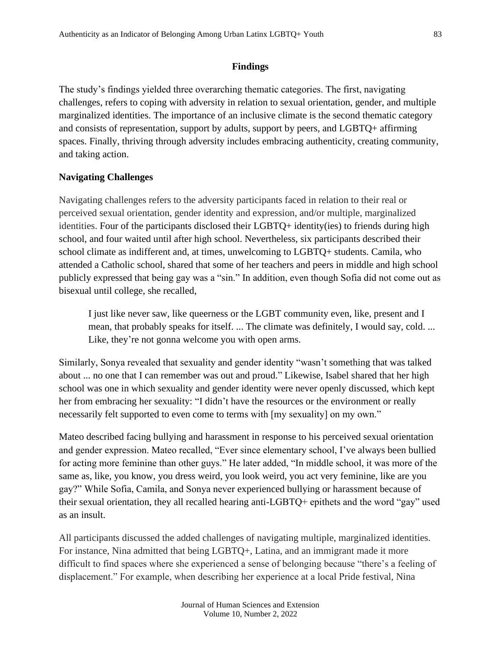#### **Findings**

The study's findings yielded three overarching thematic categories. The first, navigating challenges, refers to coping with adversity in relation to sexual orientation, gender, and multiple marginalized identities. The importance of an inclusive climate is the second thematic category and consists of representation, support by adults, support by peers, and LGBTQ+ affirming spaces. Finally, thriving through adversity includes embracing authenticity, creating community, and taking action.

#### **Navigating Challenges**

Navigating challenges refers to the adversity participants faced in relation to their real or perceived sexual orientation, gender identity and expression, and/or multiple, marginalized identities. Four of the participants disclosed their LGBTQ+ identity(ies) to friends during high school, and four waited until after high school. Nevertheless, six participants described their school climate as indifferent and, at times, unwelcoming to LGBTQ+ students. Camila, who attended a Catholic school, shared that some of her teachers and peers in middle and high school publicly expressed that being gay was a "sin." In addition, even though Sofia did not come out as bisexual until college, she recalled,

I just like never saw, like queerness or the LGBT community even, like, present and I mean, that probably speaks for itself. ... The climate was definitely, I would say, cold. ... Like, they're not gonna welcome you with open arms.

Similarly, Sonya revealed that sexuality and gender identity "wasn't something that was talked about ... no one that I can remember was out and proud." Likewise, Isabel shared that her high school was one in which sexuality and gender identity were never openly discussed, which kept her from embracing her sexuality: "I didn't have the resources or the environment or really necessarily felt supported to even come to terms with [my sexuality] on my own."

Mateo described facing bullying and harassment in response to his perceived sexual orientation and gender expression. Mateo recalled, "Ever since elementary school, I've always been bullied for acting more feminine than other guys." He later added, "In middle school, it was more of the same as, like, you know, you dress weird, you look weird, you act very feminine, like are you gay?" While Sofia, Camila, and Sonya never experienced bullying or harassment because of their sexual orientation, they all recalled hearing anti-LGBTQ+ epithets and the word "gay" used as an insult.

All participants discussed the added challenges of navigating multiple, marginalized identities. For instance, Nina admitted that being LGBTQ+, Latina, and an immigrant made it more difficult to find spaces where she experienced a sense of belonging because "there's a feeling of displacement." For example, when describing her experience at a local Pride festival, Nina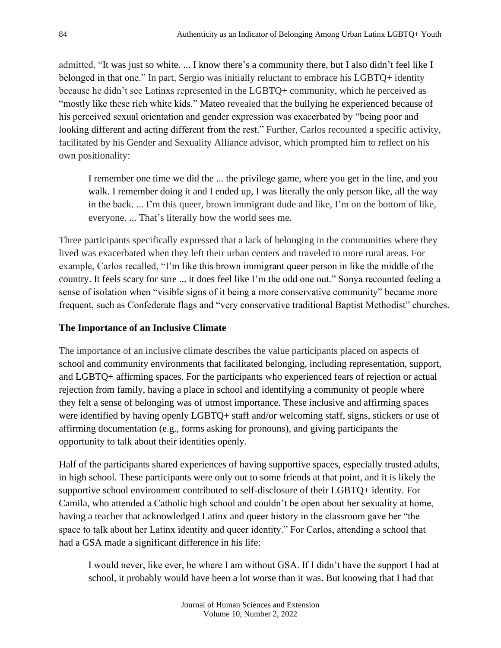admitted, "It was just so white. ... I know there's a community there, but I also didn't feel like I belonged in that one." In part, Sergio was initially reluctant to embrace his LGBTQ+ identity because he didn't see Latinxs represented in the LGBTQ+ community, which he perceived as "mostly like these rich white kids." Mateo revealed that the bullying he experienced because of his perceived sexual orientation and gender expression was exacerbated by "being poor and looking different and acting different from the rest." Further, Carlos recounted a specific activity, facilitated by his Gender and Sexuality Alliance advisor, which prompted him to reflect on his own positionality:

I remember one time we did the ... the privilege game, where you get in the line, and you walk. I remember doing it and I ended up, I was literally the only person like, all the way in the back. ... I'm this queer, brown immigrant dude and like, I'm on the bottom of like, everyone. ... That's literally how the world sees me.

Three participants specifically expressed that a lack of belonging in the communities where they lived was exacerbated when they left their urban centers and traveled to more rural areas. For example, Carlos recalled, "I'm like this brown immigrant queer person in like the middle of the country. It feels scary for sure ... it does feel like I'm the odd one out." Sonya recounted feeling a sense of isolation when "visible signs of it being a more conservative community" became more frequent, such as Confederate flags and "very conservative traditional Baptist Methodist" churches.

### **The Importance of an Inclusive Climate**

The importance of an inclusive climate describes the value participants placed on aspects of school and community environments that facilitated belonging, including representation, support, and LGBTQ+ affirming spaces. For the participants who experienced fears of rejection or actual rejection from family, having a place in school and identifying a community of people where they felt a sense of belonging was of utmost importance. These inclusive and affirming spaces were identified by having openly LGBTQ+ staff and/or welcoming staff, signs, stickers or use of affirming documentation (e.g., forms asking for pronouns), and giving participants the opportunity to talk about their identities openly.

Half of the participants shared experiences of having supportive spaces, especially trusted adults, in high school. These participants were only out to some friends at that point, and it is likely the supportive school environment contributed to self-disclosure of their LGBTQ+ identity. For Camila, who attended a Catholic high school and couldn't be open about her sexuality at home, having a teacher that acknowledged Latinx and queer history in the classroom gave her "the space to talk about her Latinx identity and queer identity." For Carlos, attending a school that had a GSA made a significant difference in his life:

I would never, like ever, be where I am without GSA. If I didn't have the support I had at school, it probably would have been a lot worse than it was. But knowing that I had that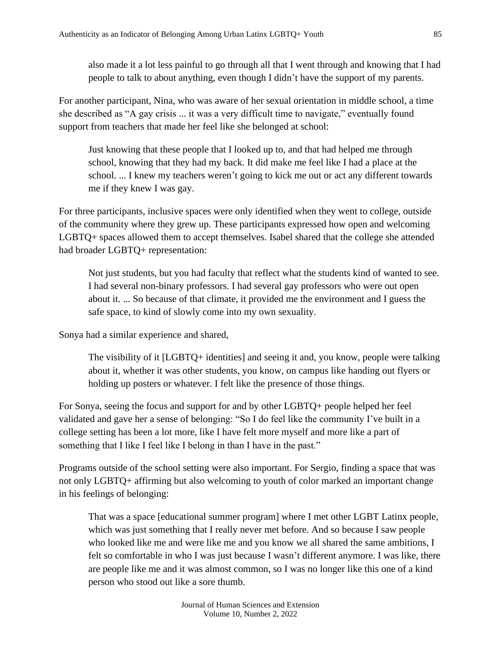also made it a lot less painful to go through all that I went through and knowing that I had people to talk to about anything, even though I didn't have the support of my parents.

For another participant, Nina, who was aware of her sexual orientation in middle school, a time she described as "A gay crisis ... it was a very difficult time to navigate," eventually found support from teachers that made her feel like she belonged at school:

Just knowing that these people that I looked up to, and that had helped me through school, knowing that they had my back. It did make me feel like I had a place at the school. ... I knew my teachers weren't going to kick me out or act any different towards me if they knew I was gay.

For three participants, inclusive spaces were only identified when they went to college, outside of the community where they grew up. These participants expressed how open and welcoming LGBTQ+ spaces allowed them to accept themselves. Isabel shared that the college she attended had broader LGBTQ+ representation:

Not just students, but you had faculty that reflect what the students kind of wanted to see. I had several non-binary professors. I had several gay professors who were out open about it. ... So because of that climate, it provided me the environment and I guess the safe space, to kind of slowly come into my own sexuality.

Sonya had a similar experience and shared,

The visibility of it [LGBTQ+ identities] and seeing it and, you know, people were talking about it, whether it was other students, you know, on campus like handing out flyers or holding up posters or whatever. I felt like the presence of those things.

For Sonya, seeing the focus and support for and by other LGBTQ+ people helped her feel validated and gave her a sense of belonging: "So I do feel like the community I've built in a college setting has been a lot more, like I have felt more myself and more like a part of something that I like I feel like I belong in than I have in the past."

Programs outside of the school setting were also important. For Sergio, finding a space that was not only LGBTQ+ affirming but also welcoming to youth of color marked an important change in his feelings of belonging:

That was a space [educational summer program] where I met other LGBT Latinx people, which was just something that I really never met before. And so because I saw people who looked like me and were like me and you know we all shared the same ambitions, I felt so comfortable in who I was just because I wasn't different anymore. I was like, there are people like me and it was almost common, so I was no longer like this one of a kind person who stood out like a sore thumb.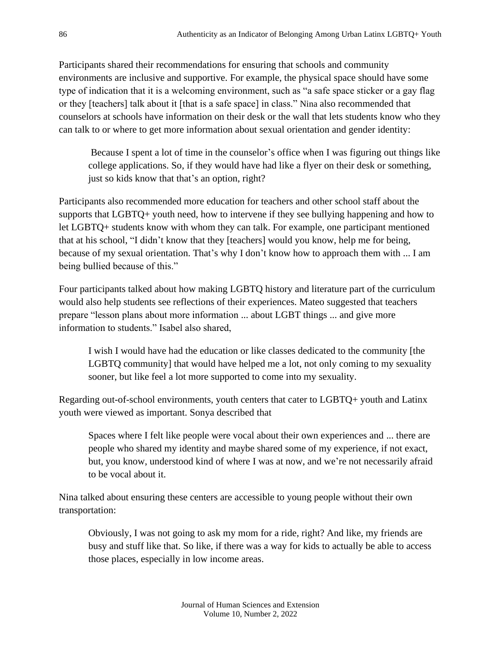Participants shared their recommendations for ensuring that schools and community environments are inclusive and supportive. For example, the physical space should have some type of indication that it is a welcoming environment, such as "a safe space sticker or a gay flag or they [teachers] talk about it [that is a safe space] in class." Nina also recommended that counselors at schools have information on their desk or the wall that lets students know who they can talk to or where to get more information about sexual orientation and gender identity:

Because I spent a lot of time in the counselor's office when I was figuring out things like college applications. So, if they would have had like a flyer on their desk or something, just so kids know that that's an option, right?

Participants also recommended more education for teachers and other school staff about the supports that LGBTQ+ youth need, how to intervene if they see bullying happening and how to let LGBTQ+ students know with whom they can talk. For example, one participant mentioned that at his school, "I didn't know that they [teachers] would you know, help me for being, because of my sexual orientation. That's why I don't know how to approach them with ... I am being bullied because of this."

Four participants talked about how making LGBTQ history and literature part of the curriculum would also help students see reflections of their experiences. Mateo suggested that teachers prepare "lesson plans about more information ... about LGBT things ... and give more information to students." Isabel also shared,

I wish I would have had the education or like classes dedicated to the community [the LGBTQ community] that would have helped me a lot, not only coming to my sexuality sooner, but like feel a lot more supported to come into my sexuality.

Regarding out-of-school environments, youth centers that cater to LGBTQ+ youth and Latinx youth were viewed as important. Sonya described that

Spaces where I felt like people were vocal about their own experiences and ... there are people who shared my identity and maybe shared some of my experience, if not exact, but, you know, understood kind of where I was at now, and we're not necessarily afraid to be vocal about it.

Nina talked about ensuring these centers are accessible to young people without their own transportation:

Obviously, I was not going to ask my mom for a ride, right? And like, my friends are busy and stuff like that. So like, if there was a way for kids to actually be able to access those places, especially in low income areas.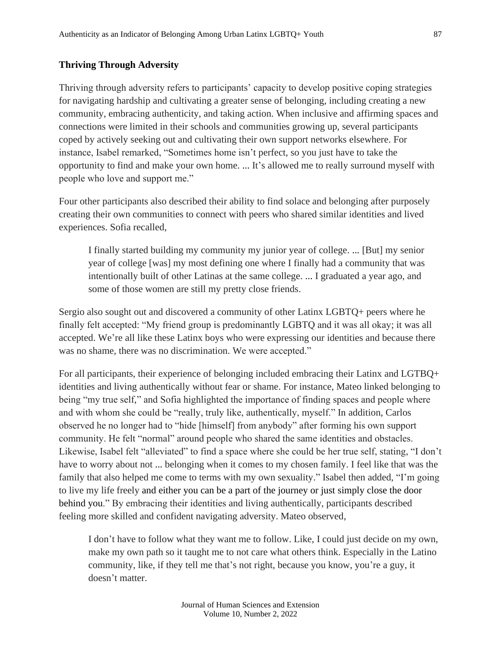#### **Thriving Through Adversity**

Thriving through adversity refers to participants' capacity to develop positive coping strategies for navigating hardship and cultivating a greater sense of belonging, including creating a new community, embracing authenticity, and taking action. When inclusive and affirming spaces and connections were limited in their schools and communities growing up, several participants coped by actively seeking out and cultivating their own support networks elsewhere. For instance, Isabel remarked, "Sometimes home isn't perfect, so you just have to take the opportunity to find and make your own home. ... It's allowed me to really surround myself with people who love and support me."

Four other participants also described their ability to find solace and belonging after purposely creating their own communities to connect with peers who shared similar identities and lived experiences. Sofia recalled,

I finally started building my community my junior year of college. ... [But] my senior year of college [was] my most defining one where I finally had a community that was intentionally built of other Latinas at the same college. ... I graduated a year ago, and some of those women are still my pretty close friends.

Sergio also sought out and discovered a community of other Latinx LGBTQ+ peers where he finally felt accepted: "My friend group is predominantly LGBTQ and it was all okay; it was all accepted. We're all like these Latinx boys who were expressing our identities and because there was no shame, there was no discrimination. We were accepted."

For all participants, their experience of belonging included embracing their Latinx and LGTBQ+ identities and living authentically without fear or shame. For instance, Mateo linked belonging to being "my true self," and Sofia highlighted the importance of finding spaces and people where and with whom she could be "really, truly like, authentically, myself." In addition, Carlos observed he no longer had to "hide [himself] from anybody" after forming his own support community. He felt "normal" around people who shared the same identities and obstacles. Likewise, Isabel felt "alleviated" to find a space where she could be her true self, stating, "I don't have to worry about not ... belonging when it comes to my chosen family. I feel like that was the family that also helped me come to terms with my own sexuality." Isabel then added, "I'm going to live my life freely and either you can be a part of the journey or just simply close the door behind you." By embracing their identities and living authentically, participants described feeling more skilled and confident navigating adversity. Mateo observed,

I don't have to follow what they want me to follow. Like, I could just decide on my own, make my own path so it taught me to not care what others think. Especially in the Latino community, like, if they tell me that's not right, because you know, you're a guy, it doesn't matter.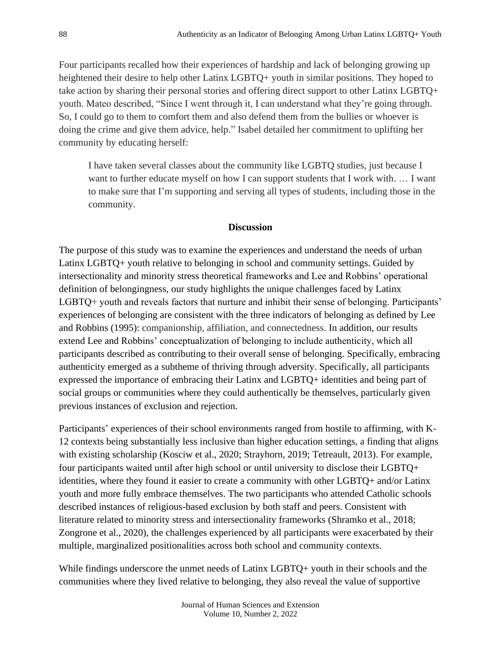Four participants recalled how their experiences of hardship and lack of belonging growing up heightened their desire to help other Latinx LGBTQ+ youth in similar positions. They hoped to take action by sharing their personal stories and offering direct support to other Latinx LGBTQ+ youth. Mateo described, "Since I went through it, I can understand what they're going through. So, I could go to them to comfort them and also defend them from the bullies or whoever is doing the crime and give them advice, help." Isabel detailed her commitment to uplifting her community by educating herself:

I have taken several classes about the community like LGBTQ studies, just because I want to further educate myself on how I can support students that I work with. ... I want to make sure that I'm supporting and serving all types of students, including those in the community.

#### **Discussion**

The purpose of this study was to examine the experiences and understand the needs of urban Latinx LGBTQ+ youth relative to belonging in school and community settings. Guided by intersectionality and minority stress theoretical frameworks and Lee and Robbins' operational definition of belongingness, our study highlights the unique challenges faced by Latinx LGBTQ+ youth and reveals factors that nurture and inhibit their sense of belonging. Participants' experiences of belonging are consistent with the three indicators of belonging as defined by Lee and Robbins (1995): companionship, affiliation, and connectedness. In addition, our results extend Lee and Robbins' conceptualization of belonging to include authenticity, which all participants described as contributing to their overall sense of belonging. Specifically, embracing authenticity emerged as a subtheme of thriving through adversity. Specifically, all participants expressed the importance of embracing their Latinx and LGBTQ+ identities and being part of social groups or communities where they could authentically be themselves, particularly given previous instances of exclusion and rejection.

Participants' experiences of their school environments ranged from hostile to affirming, with K-12 contexts being substantially less inclusive than higher education settings, a finding that aligns with existing scholarship (Kosciw et al., 2020; Strayhorn, 2019; Tetreault, 2013). For example, four participants waited until after high school or until university to disclose their LGBTQ+ identities, where they found it easier to create a community with other LGBTQ+ and/or Latinx youth and more fully embrace themselves. The two participants who attended Catholic schools described instances of religious-based exclusion by both staff and peers. Consistent with literature related to minority stress and intersectionality frameworks (Shramko et al., 2018; Zongrone et al., 2020), the challenges experienced by all participants were exacerbated by their multiple, marginalized positionalities across both school and community contexts.

While findings underscore the unmet needs of Latinx LGBTQ+ youth in their schools and the communities where they lived relative to belonging, they also reveal the value of supportive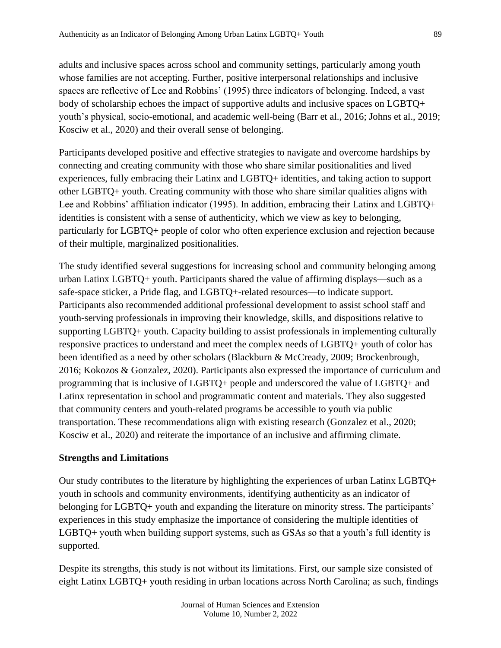adults and inclusive spaces across school and community settings, particularly among youth whose families are not accepting. Further, positive interpersonal relationships and inclusive spaces are reflective of Lee and Robbins' (1995) three indicators of belonging. Indeed, a vast body of scholarship echoes the impact of supportive adults and inclusive spaces on LGBTQ+ youth's physical, socio-emotional, and academic well-being (Barr et al., 2016; Johns et al., 2019; Kosciw et al., 2020) and their overall sense of belonging.

Participants developed positive and effective strategies to navigate and overcome hardships by connecting and creating community with those who share similar positionalities and lived experiences, fully embracing their Latinx and LGBTQ+ identities, and taking action to support other LGBTQ+ youth. Creating community with those who share similar qualities aligns with Lee and Robbins' affiliation indicator (1995). In addition, embracing their Latinx and LGBTQ+ identities is consistent with a sense of authenticity, which we view as key to belonging, particularly for LGBTQ+ people of color who often experience exclusion and rejection because of their multiple, marginalized positionalities.

The study identified several suggestions for increasing school and community belonging among urban Latinx LGBTQ+ youth. Participants shared the value of affirming displays—such as a safe-space sticker, a Pride flag, and LGBTQ+-related resources—to indicate support. Participants also recommended additional professional development to assist school staff and youth-serving professionals in improving their knowledge, skills, and dispositions relative to supporting LGBTQ+ youth. Capacity building to assist professionals in implementing culturally responsive practices to understand and meet the complex needs of LGBTQ+ youth of color has been identified as a need by other scholars (Blackburn & McCready, 2009; Brockenbrough, 2016; Kokozos & Gonzalez, 2020). Participants also expressed the importance of curriculum and programming that is inclusive of LGBTQ+ people and underscored the value of LGBTQ+ and Latinx representation in school and programmatic content and materials. They also suggested that community centers and youth-related programs be accessible to youth via public transportation. These recommendations align with existing research (Gonzalez et al., 2020; Kosciw et al., 2020) and reiterate the importance of an inclusive and affirming climate.

#### **Strengths and Limitations**

Our study contributes to the literature by highlighting the experiences of urban Latinx LGBTQ+ youth in schools and community environments, identifying authenticity as an indicator of belonging for LGBTQ+ youth and expanding the literature on minority stress. The participants' experiences in this study emphasize the importance of considering the multiple identities of LGBTQ+ youth when building support systems, such as GSAs so that a youth's full identity is supported.

Despite its strengths, this study is not without its limitations. First, our sample size consisted of eight Latinx LGBTQ+ youth residing in urban locations across North Carolina; as such, findings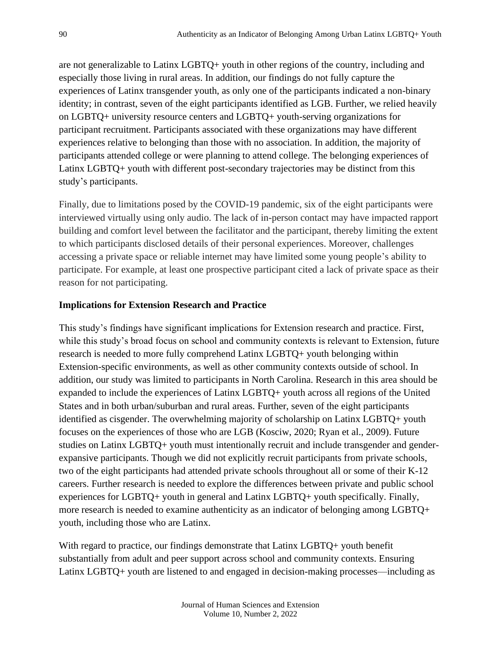are not generalizable to Latinx LGBTQ+ youth in other regions of the country, including and especially those living in rural areas. In addition, our findings do not fully capture the experiences of Latinx transgender youth, as only one of the participants indicated a non-binary identity; in contrast, seven of the eight participants identified as LGB. Further, we relied heavily on LGBTQ+ university resource centers and LGBTQ+ youth-serving organizations for participant recruitment. Participants associated with these organizations may have different experiences relative to belonging than those with no association. In addition, the majority of participants attended college or were planning to attend college. The belonging experiences of Latinx LGBTQ+ youth with different post-secondary trajectories may be distinct from this study's participants.

Finally, due to limitations posed by the COVID-19 pandemic, six of the eight participants were interviewed virtually using only audio. The lack of in-person contact may have impacted rapport building and comfort level between the facilitator and the participant, thereby limiting the extent to which participants disclosed details of their personal experiences. Moreover, challenges accessing a private space or reliable internet may have limited some young people's ability to participate. For example, at least one prospective participant cited a lack of private space as their reason for not participating.

#### **Implications for Extension Research and Practice**

This study's findings have significant implications for Extension research and practice. First, while this study's broad focus on school and community contexts is relevant to Extension, future research is needed to more fully comprehend Latinx LGBTQ+ youth belonging within Extension-specific environments, as well as other community contexts outside of school. In addition, our study was limited to participants in North Carolina. Research in this area should be expanded to include the experiences of Latinx LGBTQ+ youth across all regions of the United States and in both urban/suburban and rural areas. Further, seven of the eight participants identified as cisgender. The overwhelming majority of scholarship on Latinx LGBTQ+ youth focuses on the experiences of those who are LGB (Kosciw, 2020; Ryan et al., 2009). Future studies on Latinx LGBTQ+ youth must intentionally recruit and include transgender and genderexpansive participants. Though we did not explicitly recruit participants from private schools, two of the eight participants had attended private schools throughout all or some of their K-12 careers. Further research is needed to explore the differences between private and public school experiences for LGBTQ+ youth in general and Latinx LGBTQ+ youth specifically. Finally, more research is needed to examine authenticity as an indicator of belonging among LGBTQ+ youth, including those who are Latinx.

With regard to practice, our findings demonstrate that Latinx LGBTQ+ youth benefit substantially from adult and peer support across school and community contexts. Ensuring Latinx LGBTQ+ youth are listened to and engaged in decision-making processes—including as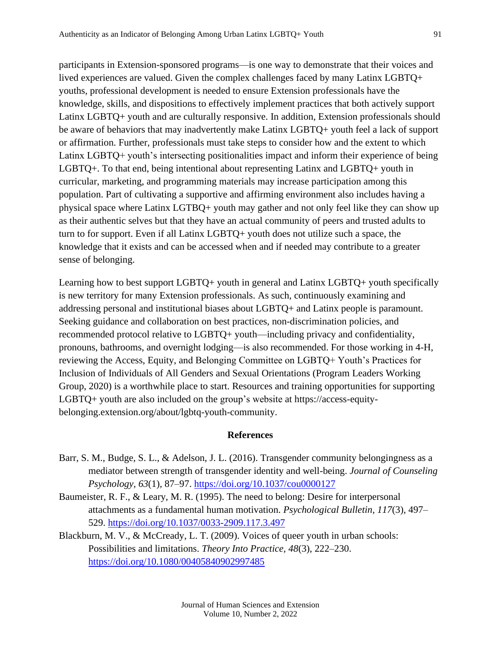participants in Extension-sponsored programs—is one way to demonstrate that their voices and lived experiences are valued. Given the complex challenges faced by many Latinx LGBTQ+ youths, professional development is needed to ensure Extension professionals have the knowledge, skills, and dispositions to effectively implement practices that both actively support Latinx LGBTQ+ youth and are culturally responsive. In addition, Extension professionals should be aware of behaviors that may inadvertently make Latinx LGBTQ+ youth feel a lack of support or affirmation. Further, professionals must take steps to consider how and the extent to which Latinx LGBTQ+ youth's intersecting positionalities impact and inform their experience of being LGBTQ+. To that end, being intentional about representing Latinx and LGBTQ+ youth in curricular, marketing, and programming materials may increase participation among this population. Part of cultivating a supportive and affirming environment also includes having a physical space where Latinx LGTBQ+ youth may gather and not only feel like they can show up as their authentic selves but that they have an actual community of peers and trusted adults to turn to for support. Even if all Latinx LGBTQ+ youth does not utilize such a space, the knowledge that it exists and can be accessed when and if needed may contribute to a greater sense of belonging.

Learning how to best support LGBTQ+ youth in general and Latinx LGBTQ+ youth specifically is new territory for many Extension professionals. As such, continuously examining and addressing personal and institutional biases about LGBTQ+ and Latinx people is paramount. Seeking guidance and collaboration on best practices, non-discrimination policies, and recommended protocol relative to LGBTQ+ youth—including privacy and confidentiality, pronouns, bathrooms, and overnight lodging—is also recommended. For those working in 4-H, reviewing the Access, Equity, and Belonging Committee on LGBTQ+ Youth's Practices for Inclusion of Individuals of All Genders and Sexual Orientations (Program Leaders Working Group, 2020) is a worthwhile place to start. Resources and training opportunities for supporting LGBTQ+ youth are also included on the group's website at https://access-equitybelonging.extension.org/about/lgbtq-youth-community.

#### **References**

- Barr, S. M., Budge, S. L., & Adelson, J. L. (2016). Transgender community belongingness as a mediator between strength of transgender identity and well-being. *Journal of Counseling Psychology, 63*(1)*,* 87–97.<https://doi.org/10.1037/cou0000127>
- Baumeister, R. F., & Leary, M. R. (1995). The need to belong: Desire for interpersonal attachments as a fundamental human motivation. *Psychological Bulletin, 117*(3)*,* 497– 529.<https://doi.org/10.1037/0033-2909.117.3.497>
- Blackburn, M. V., & McCready, L. T. (2009). Voices of queer youth in urban schools: Possibilities and limitations. *Theory Into Practice, 48*(3), 222–230. <https://doi.org/10.1080/00405840902997485>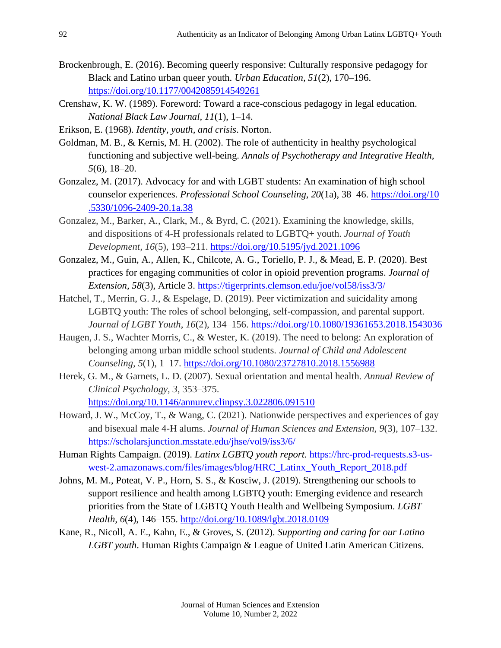- Brockenbrough, E. (2016). Becoming queerly responsive: Culturally responsive pedagogy for Black and Latino urban queer youth. *Urban Education, 51*(2)*,* 170–196. <https://doi.org/10.1177/0042085914549261>
- Crenshaw, K. W. (1989). Foreword: Toward a race-conscious pedagogy in legal education. *National Black Law Journal, 11*(1), 1–14.
- Erikson, E. (1968). *Identity, youth, and crisis*. Norton.
- Goldman, M. B., & Kernis, M. H. (2002). The role of authenticity in healthy psychological functioning and subjective well-being. *Annals of Psychotherapy and Integrative Health, 5*(6), 18–20.
- Gonzalez, M. (2017). Advocacy for and with LGBT students: An examination of high school counselor experiences. *Professional School Counseling*, *20*(1a), 38–46. [https://doi.org/10](https://doi.org/10.5330/1096-2409-20.1a.38) [.5330/1096-2409-20.1a.38](https://doi.org/10.5330/1096-2409-20.1a.38)
- Gonzalez, M., Barker, A., Clark, M., & Byrd, C. (2021). Examining the knowledge, skills, and dispositions of 4-H professionals related to LGBTQ+ youth. *Journal of Youth Development, 16*(5), 193–211.<https://doi.org/10.5195/jyd.2021.1096>
- Gonzalez, M., Guin, A., Allen, K., Chilcote, A. G., Toriello, P. J., & Mead, E. P. (2020). Best practices for engaging communities of color in opioid prevention programs. *Journal of Extension, 58*(3), Article 3. <https://tigerprints.clemson.edu/joe/vol58/iss3/3/>
- Hatchel, T., Merrin, G. J., & Espelage, D. (2019). Peer victimization and suicidality among LGBTQ youth: The roles of school belonging, self-compassion, and parental support. *Journal of LGBT Youth*, *16*(2), 134–156.<https://doi.org/10.1080/19361653.2018.1543036>
- Haugen, J. S., Wachter Morris, C., & Wester, K. (2019). The need to belong: An exploration of belonging among urban middle school students. *Journal of Child and Adolescent Counseling, 5*(1), 1–17. <https://doi.org/10.1080/23727810.2018.1556988>
- Herek, G. M., & Garnets, L. D. (2007). Sexual orientation and mental health. *Annual Review of Clinical Psychology, 3*, 353–375. <https://doi.org/10.1146/annurev.clinpsy.3.022806.091510>
- Howard, J. W., McCoy, T., & Wang, C. (2021). Nationwide perspectives and experiences of gay and bisexual male 4-H alums. *Journal of Human Sciences and Extension, 9*(3), 107–132. <https://scholarsjunction.msstate.edu/jhse/vol9/iss3/6/>
- Human Rights Campaign. (2019). *Latinx LGBTQ youth report*. [https://hrc-prod-requests.s3-us](https://hrc-prod-requests.s3-us-west-2.amazonaws.com/files/images/blog/HRC_Latinx_Youth_Report_2018.pdf)[west-2.amazonaws.com/files/images/blog/HRC\\_Latinx\\_Youth\\_Report\\_2018.pdf](https://hrc-prod-requests.s3-us-west-2.amazonaws.com/files/images/blog/HRC_Latinx_Youth_Report_2018.pdf)
- Johns, M. M., Poteat, V. P., Horn, S. S., & Kosciw, J. (2019). Strengthening our schools to support resilience and health among LGBTQ youth: Emerging evidence and research priorities from the State of LGBTQ Youth Health and Wellbeing Symposium. *LGBT Health, 6*(4), 146–155.<http://doi.org/10.1089/lgbt.2018.0109>
- Kane, R., Nicoll, A. E., Kahn, E., & Groves, S. (2012). *Supporting and caring for our Latino LGBT youth*. Human Rights Campaign & League of United Latin American Citizens.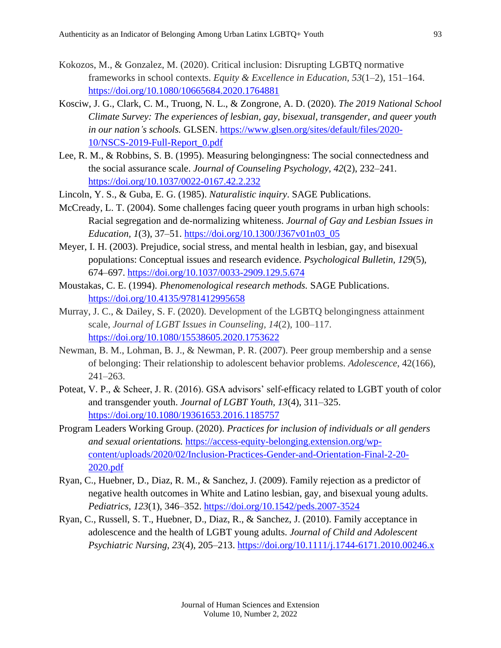- Kokozos, M., & Gonzalez, M. (2020). Critical inclusion: Disrupting LGBTQ normative frameworks in school contexts. *Equity & Excellence in Education, 53*(1–2), 151–164. <https://doi.org/10.1080/10665684.2020.1764881>
- Kosciw, J. G., Clark, C. M., Truong, N. L., & Zongrone, A. D. (2020). *The 2019 National School Climate Survey: The experiences of lesbian, gay, bisexual, transgender, and queer youth in our nation's schools.* GLSEN. [https://www.glsen.org/sites/default/files/2020-](https://www.glsen.org/sites/default/files/2020-10/NSCS-2019-Full-Report_0.pdf) [10/NSCS-2019-Full-Report\\_0.pdf](https://www.glsen.org/sites/default/files/2020-10/NSCS-2019-Full-Report_0.pdf)
- Lee, R. M., & Robbins, S. B. (1995). Measuring belongingness: The social connectedness and the social assurance scale. *Journal of Counseling Psychology, 42*(2), 232–241. <https://doi.org/10.1037/0022-0167.42.2.232>
- Lincoln, Y. S., & Guba, E. G. (1985). *Naturalistic inquiry*. SAGE Publications.
- McCready, L. T. (2004). Some challenges facing queer youth programs in urban high schools: Racial segregation and de-normalizing whiteness. *Journal of Gay and Lesbian Issues in Education, 1*(3), 37–51. [https://doi.org/10.1300/J367v01n03\\_05](https://doi.org/10.1300/J367v01n03_05)
- Meyer, I. H. (2003). Prejudice, social stress, and mental health in lesbian, gay, and bisexual populations: Conceptual issues and research evidence. *Psychological Bulletin, 129*(5)*,*  674–697.<https://doi.org/10.1037/0033-2909.129.5.674>
- Moustakas, C. E. (1994). *Phenomenological research methods.* SAGE Publications. <https://doi.org/10.4135/9781412995658>
- Murray, J. C., & Dailey, S. F. (2020). Development of the LGBTQ belongingness attainment scale, *Journal of LGBT Issues in Counseling, 14*(2), 100–117. <https://doi.org/10.1080/15538605.2020.1753622>
- Newman, B. M., Lohman, B. J., & Newman, P. R. (2007). Peer group membership and a sense of belonging: Their relationship to adolescent behavior problems. *Adolescence*, 42(166), 241–263.
- Poteat, V. P., & Scheer, J. R. (2016). GSA advisors' self-efficacy related to LGBT youth of color and transgender youth. *Journal of LGBT Youth, 13*(4), 311–325. <https://doi.org/10.1080/19361653.2016.1185757>
- Program Leaders Working Group. (2020). *Practices for inclusion of individuals or all genders and sexual orientations.* [https://access-equity-belonging.extension.org/wp](https://access-equity-belonging.extension.org/wp-content/uploads/2020/02/Inclusion-Practices-Gender-and-Orientation-Final-2-20-2020.pdf)[content/uploads/2020/02/Inclusion-Practices-Gender-and-Orientation-Final-2-20-](https://access-equity-belonging.extension.org/wp-content/uploads/2020/02/Inclusion-Practices-Gender-and-Orientation-Final-2-20-2020.pdf) [2020.pdf](https://access-equity-belonging.extension.org/wp-content/uploads/2020/02/Inclusion-Practices-Gender-and-Orientation-Final-2-20-2020.pdf)
- Ryan, C., Huebner, D., Diaz, R. M., & Sanchez, J. (2009). Family rejection as a predictor of negative health outcomes in White and Latino lesbian, gay, and bisexual young adults. *Pediatrics, 123*(1), 346–352.<https://doi.org/10.1542/peds.2007-3524>
- Ryan, C., Russell, S. T., Huebner, D., Diaz, R., & Sanchez, J. (2010). Family acceptance in adolescence and the health of LGBT young adults. *Journal of Child and Adolescent Psychiatric Nursing, 23*(4), 205–213.<https://doi.org/10.1111/j.1744-6171.2010.00246.x>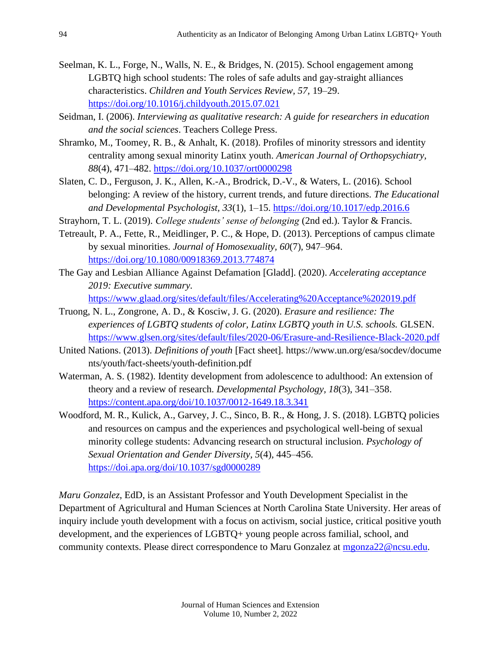- Seelman, K. L., Forge, N., Walls, N. E., & Bridges, N. (2015). School engagement among LGBTQ high school students: The roles of safe adults and gay-straight alliances characteristics. *Children and Youth Services Review, 57,* 19–29. <https://doi.org/10.1016/j.childyouth.2015.07.021>
- Seidman, I. (2006). *Interviewing as qualitative research: A guide for researchers in education and the social sciences*. Teachers College Press.
- Shramko, M., Toomey, R. B., & Anhalt, K. (2018). Profiles of minority stressors and identity centrality among sexual minority Latinx youth. *American Journal of Orthopsychiatry, 88*(4), 471–482. <https://doi.org/10.1037/ort0000298>
- Slaten, C. D., Ferguson, J. K., Allen, K.-A., Brodrick, D.-V., & Waters, L. (2016). School belonging: A review of the history, current trends, and future directions. *The Educational and Developmental Psychologist, 33*(1)*,* 1–15. <https://doi.org/10.1017/edp.2016.6>
- Strayhorn, T. L. (2019). *College students' sense of belonging* (2nd ed.). Taylor & Francis.
- Tetreault, P. A., Fette, R., Meidlinger, P. C., & Hope, D. (2013). Perceptions of campus climate by sexual minorities. *Journal of Homosexuality, 60*(7)*,* 947–964. <https://doi.org/10.1080/00918369.2013.774874>
- The Gay and Lesbian Alliance Against Defamation [Gladd]. (2020). *Accelerating acceptance 2019: Executive summary.* 
	- <https://www.glaad.org/sites/default/files/Accelerating%20Acceptance%202019.pdf>
- Truong, N. L., Zongrone, A. D., & Kosciw, J. G. (2020). *Erasure and resilience: The experiences of LGBTQ students of color, Latinx LGBTQ youth in U.S. schools.* GLSEN. <https://www.glsen.org/sites/default/files/2020-06/Erasure-and-Resilience-Black-2020.pdf>
- United Nations. (2013). *Definitions of youth* [Fact sheet]*.* https://www.un.org/esa/socdev/docume nts/youth/fact-sheets/youth-definition.pdf
- Waterman, A. S. (1982). Identity development from adolescence to adulthood: An extension of theory and a review of research. *Developmental Psychology, 18*(3), 341–358. <https://content.apa.org/doi/10.1037/0012-1649.18.3.341>
- Woodford, M. R., Kulick, A., Garvey, J. C., Sinco, B. R., & Hong, J. S. (2018). LGBTQ policies and resources on campus and the experiences and psychological well-being of sexual minority college students: Advancing research on structural inclusion. *Psychology of Sexual Orientation and Gender Diversity, 5*(4)*,* 445–456. <https://doi.apa.org/doi/10.1037/sgd0000289>

*Maru Gonzalez*, EdD, is an Assistant Professor and Youth Development Specialist in the Department of Agricultural and Human Sciences at North Carolina State University. Her areas of inquiry include youth development with a focus on activism, social justice, critical positive youth development, and the experiences of LGBTQ+ young people across familial, school, and community contexts. Please direct correspondence to Maru Gonzalez at [mgonza22@ncsu.edu.](mailto:mgonza22@ncsu.edu)